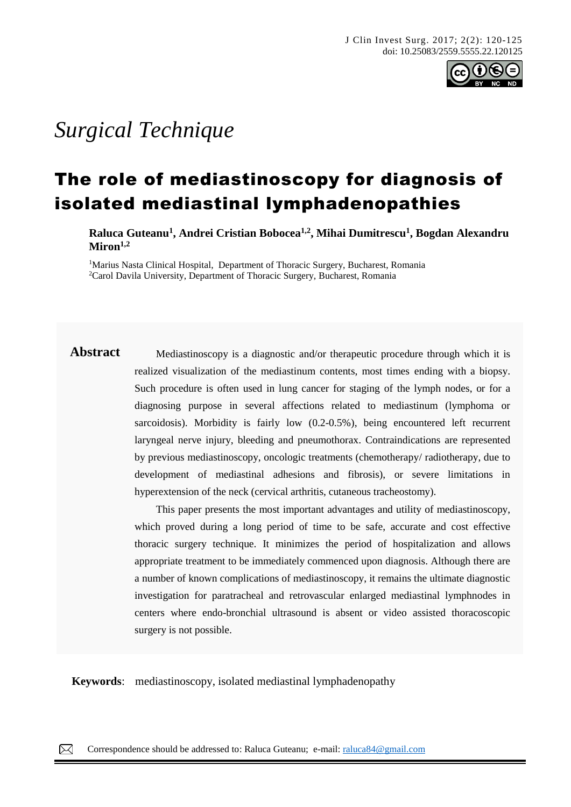

# *Surgical Technique*

# The role of mediastinoscopy for diagnosis of isolated mediastinal lymphadenopathies

**Raluca Guteanu<sup>1</sup> , Andrei Cristian Bobocea1,2, Mihai Dumitrescu<sup>1</sup> , Bogdan Alexandru Miron1,2**

<sup>1</sup>Marius Nasta Clinical Hospital, Department of Thoracic Surgery, Bucharest, Romania <sup>2</sup>Carol Davila University, Department of Thoracic Surgery, Bucharest, Romania

**Abstract** Mediastinoscopy is a diagnostic and/or therapeutic procedure through which it is realized visualization of the mediastinum contents, most times ending with a biopsy. Such procedure is often used in lung cancer for staging of the lymph nodes, or for a diagnosing purpose in several affections related to mediastinum (lymphoma or sarcoidosis). Morbidity is fairly low (0.2-0.5%), being encountered left recurrent laryngeal nerve injury, bleeding and pneumothorax. Contraindications are represented by previous mediastinoscopy, oncologic treatments (chemotherapy/ radiotherapy, due to development of mediastinal adhesions and fibrosis), or severe limitations in hyperextension of the neck (cervical arthritis, cutaneous tracheostomy).

> This paper presents the most important advantages and utility of mediastinoscopy, which proved during a long period of time to be safe, accurate and cost effective thoracic surgery technique. It minimizes the period of hospitalization and allows appropriate treatment to be immediately commenced upon diagnosis. Although there are a number of known complications of mediastinoscopy, it remains the ultimate diagnostic investigation for paratracheal and retrovascular enlarged mediastinal lymphnodes in centers where endo-bronchial ultrasound is absent or video assisted thoracoscopic surgery is not possible.

**Keywords**: mediastinoscopy, isolated mediastinal lymphadenopathy

 $\boxtimes$ Correspondence should be addressed to: Raluca Guteanu; e-mail: [raluca84@gmail.com](mailto:raluca84@gmail.com)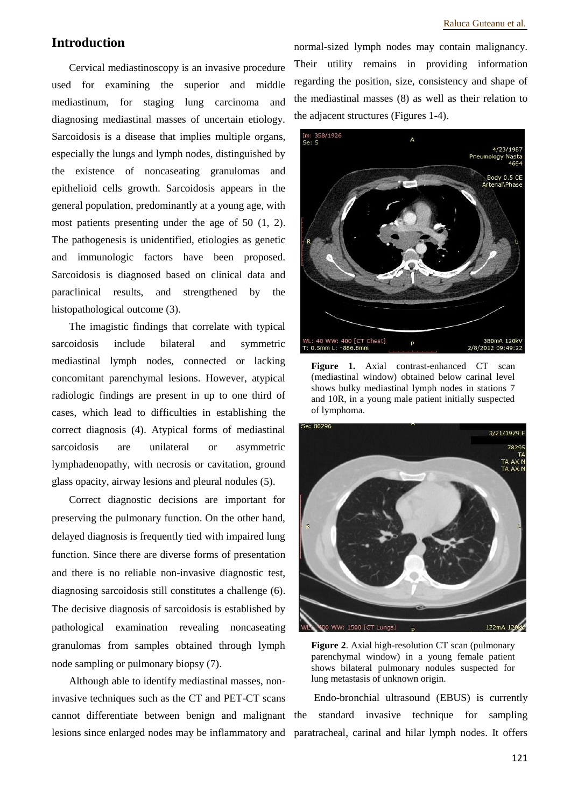# **Introduction**

Cervical mediastinoscopy is an invasive procedure used for examining the superior and middle mediastinum, for staging lung carcinoma and diagnosing mediastinal masses of uncertain etiology. Sarcoidosis is a disease that implies multiple organs, especially the lungs and lymph nodes, distinguished by the existence of noncaseating granulomas and epithelioid cells growth. Sarcoidosis appears in the general population, predominantly at a young age, with most patients presenting under the age of 50 (1, 2). The pathogenesis is unidentified, etiologies as genetic and immunologic factors have been proposed. Sarcoidosis is diagnosed based on clinical data and paraclinical results, and strengthened by the histopathological outcome (3).

The imagistic findings that correlate with typical sarcoidosis include bilateral and symmetric mediastinal lymph nodes, connected or lacking concomitant parenchymal lesions. However, atypical radiologic findings are present in up to one third of cases, which lead to difficulties in establishing the correct diagnosis (4). Atypical forms of mediastinal sarcoidosis are unilateral or asymmetric lymphadenopathy, with necrosis or cavitation, ground glass opacity, airway lesions and pleural nodules (5).

Correct diagnostic decisions are important for preserving the pulmonary function. On the other hand, delayed diagnosis is frequently tied with impaired lung function. Since there are diverse forms of presentation and there is no reliable non-invasive diagnostic test, diagnosing sarcoidosis still constitutes a challenge (6). The decisive diagnosis of sarcoidosis is established by pathological examination revealing noncaseating granulomas from samples obtained through lymph node sampling or pulmonary biopsy (7).

Although able to identify mediastinal masses, noninvasive techniques such as the CT and PET-CT scans cannot differentiate between benign and malignant lesions since enlarged nodes may be inflammatory and paratracheal, carinal and hilar lymph nodes. It offers

normal-sized lymph nodes may contain malignancy. Their utility remains in providing information regarding the position, size, consistency and shape of the mediastinal masses (8) as well as their relation to the adjacent structures (Figures 1-4).



Figure 1. Axial contrast-enhanced CT scan (mediastinal window) obtained below carinal level shows bulky mediastinal lymph nodes in stations 7 and 10R, in a young male patient initially suspected of lymphoma.



**Figure 2**. Axial high-resolution CT scan (pulmonary parenchymal window) in a young female patient shows bilateral pulmonary nodules suspected for lung metastasis of unknown origin.

Endo-bronchial ultrasound (EBUS) is currently standard invasive technique for sampling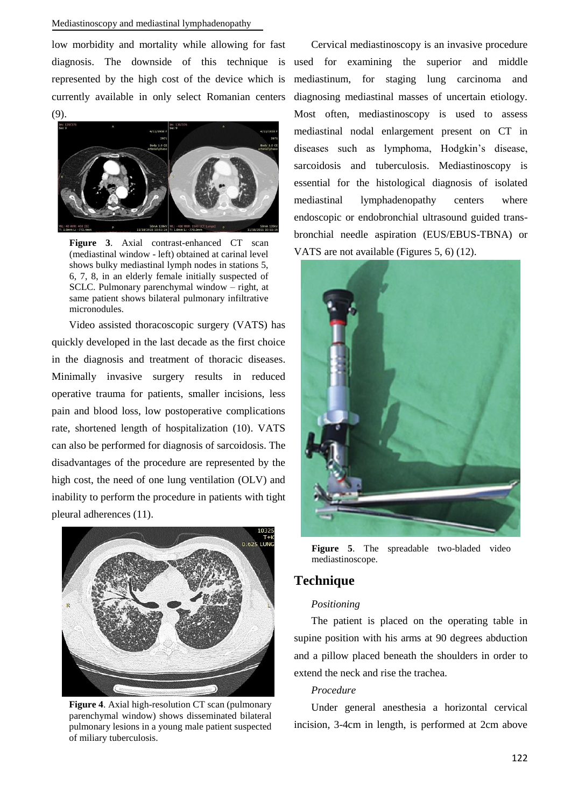low morbidity and mortality while allowing for fast represented by the high cost of the device which is currently available in only select Romanian centers (9).



**Figure 3**. Axial contrast-enhanced CT scan (mediastinal window - left) obtained at carinal level shows bulky mediastinal lymph nodes in stations 5, 6, 7, 8, in an elderly female initially suspected of SCLC. Pulmonary parenchymal window – right, at same patient shows bilateral pulmonary infiltrative micronodules.

Video assisted thoracoscopic surgery (VATS) has quickly developed in the last decade as the first choice in the diagnosis and treatment of thoracic diseases. Minimally invasive surgery results in reduced operative trauma for patients, smaller incisions, less pain and blood loss, low postoperative complications rate, shortened length of hospitalization (10). VATS can also be performed for diagnosis of sarcoidosis. The disadvantages of the procedure are represented by the high cost, the need of one lung ventilation (OLV) and inability to perform the procedure in patients with tight pleural adherences (11).



**Figure 4**. Axial high-resolution CT scan (pulmonary parenchymal window) shows disseminated bilateral pulmonary lesions in a young male patient suspected of miliary tuberculosis.

diagnosis. The downside of this technique is used for examining the superior and middle Cervical mediastinoscopy is an invasive procedure mediastinum, for staging lung carcinoma and diagnosing mediastinal masses of uncertain etiology. Most often, mediastinoscopy is used to assess mediastinal nodal enlargement present on CT in diseases such as lymphoma, Hodgkin's disease, sarcoidosis and tuberculosis. Mediastinoscopy is essential for the histological diagnosis of isolated mediastinal lymphadenopathy centers where endoscopic or endobronchial ultrasound guided transbronchial needle aspiration (EUS/EBUS-TBNA) or VATS are not available (Figures 5, 6) (12).



**Figure 5**. The spreadable two-bladed video mediastinoscope.

# **Technique**

#### *Positioning*

The patient is placed on the operating table in supine position with his arms at 90 degrees abduction and a pillow placed beneath the shoulders in order to extend the neck and rise the trachea.

#### *Procedure*

Under general anesthesia a horizontal cervical incision, 3-4cm in length, is performed at 2cm above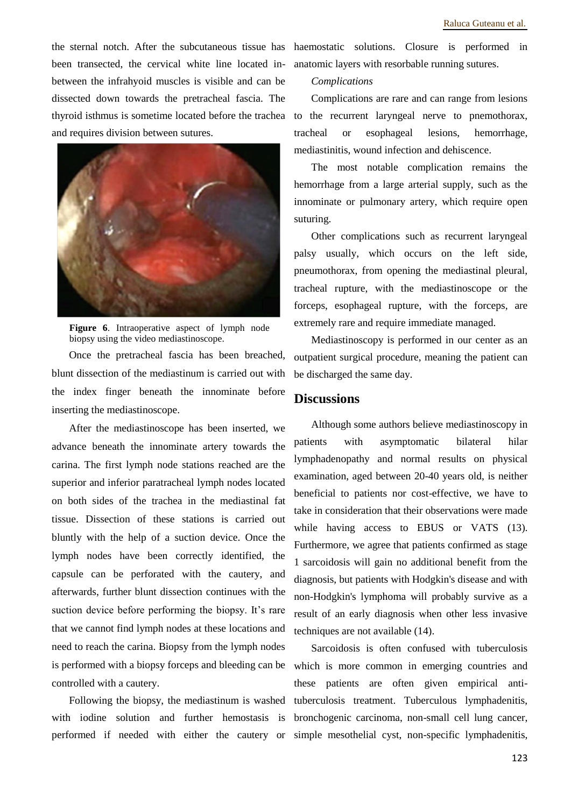been transected, the cervical white line located inbetween the infrahyoid muscles is visible and can be dissected down towards the pretracheal fascia. The thyroid isthmus is sometime located before the trachea and requires division between sutures.



**Figure 6**. Intraoperative aspect of lymph node biopsy using the video mediastinoscope.

Once the pretracheal fascia has been breached, blunt dissection of the mediastinum is carried out with the index finger beneath the innominate before inserting the mediastinoscope.

After the mediastinoscope has been inserted, we advance beneath the innominate artery towards the carina. The first lymph node stations reached are the superior and inferior paratracheal lymph nodes located on both sides of the trachea in the mediastinal fat tissue. Dissection of these stations is carried out bluntly with the help of a suction device. Once the lymph nodes have been correctly identified, the capsule can be perforated with the cautery, and afterwards, further blunt dissection continues with the suction device before performing the biopsy. It's rare that we cannot find lymph nodes at these locations and need to reach the carina. Biopsy from the lymph nodes is performed with a biopsy forceps and bleeding can be controlled with a cautery.

Following the biopsy, the mediastinum is washed with iodine solution and further hemostasis is performed if needed with either the cautery or simple mesothelial cyst, non-specific lymphadenitis,

the sternal notch. After the subcutaneous tissue has haemostatic solutions. Closure is performed in anatomic layers with resorbable running sutures.

#### *Complications*

Complications are rare and can range from lesions to the recurrent laryngeal nerve to pnemothorax, tracheal or esophageal lesions, hemorrhage, mediastinitis, wound infection and dehiscence.

The most notable complication remains the hemorrhage from a large arterial supply, such as the innominate or pulmonary artery, which require open suturing.

Other complications such as recurrent laryngeal palsy usually, which occurs on the left side, pneumothorax, from opening the mediastinal pleural, tracheal rupture, with the mediastinoscope or the forceps, esophageal rupture, with the forceps, are extremely rare and require immediate managed.

Mediastinoscopy is performed in our center as an outpatient surgical procedure, meaning the patient can be discharged the same day.

# **Discussions**

Although some authors believe mediastinoscopy in patients with asymptomatic bilateral hilar lymphadenopathy and normal results on physical examination, aged between 20-40 years old, is neither beneficial to patients nor cost-effective, we have to take in consideration that their observations were made while having access to EBUS or VATS (13). Furthermore, we agree that patients confirmed as stage 1 sarcoidosis will gain no additional benefit from the diagnosis, but patients with Hodgkin's disease and with non-Hodgkin's lymphoma will probably survive as a result of an early diagnosis when other less invasive techniques are not available (14).

Sarcoidosis is often confused with tuberculosis which is more common in emerging countries and these patients are often given empirical antituberculosis treatment. Tuberculous lymphadenitis, bronchogenic carcinoma, non-small cell lung cancer,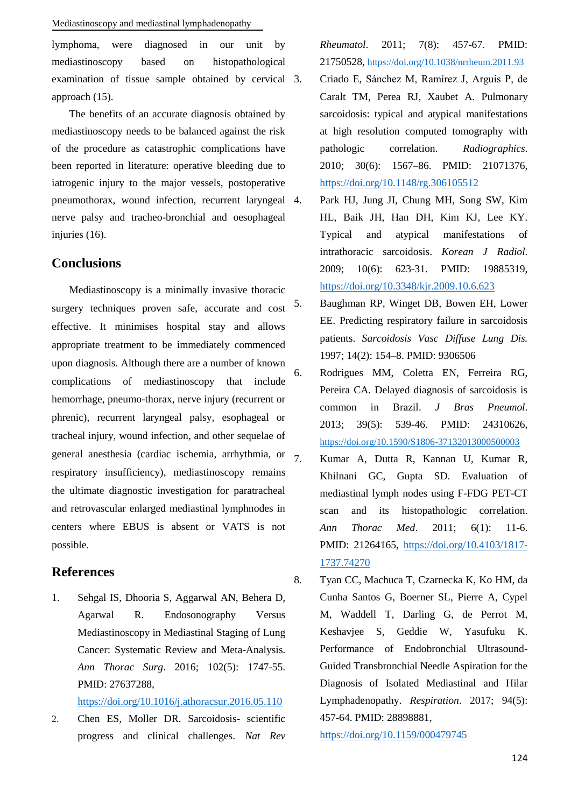lymphoma, were diagnosed in our unit by mediastinoscopy based on histopathological examination of tissue sample obtained by cervical 3. approach (15).

The benefits of an accurate diagnosis obtained by mediastinoscopy needs to be balanced against the risk of the procedure as catastrophic complications have been reported in literature: operative bleeding due to iatrogenic injury to the major vessels, postoperative pneumothorax, wound infection, recurrent laryngeal nerve palsy and tracheo-bronchial and oesophageal injuries (16).

# **Conclusions**

Mediastinoscopy is a minimally invasive thoracic surgery techniques proven safe, accurate and cost effective. It minimises hospital stay and allows appropriate treatment to be immediately commenced upon diagnosis. Although there are a number of known complications of mediastinoscopy that include hemorrhage, pneumo-thorax, nerve injury (recurrent or phrenic), recurrent laryngeal palsy, esophageal or tracheal injury, wound infection, and other sequelae of general anesthesia (cardiac ischemia, arrhythmia, or  $7$ . respiratory insufficiency), mediastinoscopy remains the ultimate diagnostic investigation for paratracheal and retrovascular enlarged mediastinal lymphnodes in centers where EBUS is absent or VATS is not possible.

# **References**

1. Sehgal IS, Dhooria S, Aggarwal AN, Behera D, Agarwal R. Endosonography Versus Mediastinoscopy in Mediastinal Staging of Lung Cancer: Systematic Review and Meta-Analysis. *Ann Thorac Surg*. 2016; 102(5): 1747-55. PMID: 27637288,

<https://doi.org/10.1016/j.athoracsur.2016.05.110>

2. Chen ES, Moller DR. Sarcoidosis- scientific progress and clinical challenges. *Nat Rev* 

*Rheumatol*. 2011; 7(8): 457-67. PMID: 21750528, <https://doi.org/10.1038/nrrheum.2011.93>

- 3. Criado E, Sánchez M, Ramírez J, Arguis P, de Caralt TM, Perea RJ, Xaubet A. Pulmonary sarcoidosis: typical and atypical manifestations at high resolution computed tomography with pathologic correlation. *Radiographics*. 2010; 30(6): 1567–86. PMID: 21071376, <https://doi.org/10.1148/rg.306105512>
- 4. Park HJ, Jung JI, Chung MH, Song SW, Kim HL, Baik JH, Han DH, Kim KJ, Lee KY. Typical and atypical manifestations of intrathoracic sarcoidosis. *Korean J Radiol*. 2009; 10(6): 623-31. PMID: 19885319, <https://doi.org/10.3348/kjr.2009.10.6.623>
- 5. Baughman RP, Winget DB, Bowen EH, Lower EE. Predicting respiratory failure in sarcoidosis patients. *Sarcoidosis Vasc Diffuse Lung Dis.* 1997; 14(2): 154–8. PMID: 9306506
- 6. Rodrigues MM, Coletta EN, Ferreira RG, Pereira CA. Delayed diagnosis of sarcoidosis is common in Brazil. *J Bras Pneumol*. 2013; 39(5): 539-46. PMID: 24310626, <https://doi.org/10.1590/S1806-37132013000500003>
	- 7. Kumar A, Dutta R, Kannan U, Kumar R, Khilnani GC, Gupta SD. Evaluation of mediastinal lymph nodes using F-FDG PET-CT scan and its histopathologic correlation. *Ann Thorac Med*. 2011; 6(1): 11-6. PMID: 21264165, [https://doi.org/10.4103/1817-](https://doi.org/10.4103/1817-1737.74270) [1737.74270](https://doi.org/10.4103/1817-1737.74270)
- 8. Tyan CC, Machuca T, Czarnecka K, Ko HM, da Cunha Santos G, Boerner SL, Pierre A, Cypel M, Waddell T, Darling G, de Perrot M, Keshavjee S, Geddie W, Yasufuku K. Performance of Endobronchial Ultrasound-Guided Transbronchial Needle Aspiration for the Diagnosis of Isolated Mediastinal and Hilar Lymphadenopathy. *Respiration*. 2017; 94(5): 457-64. PMID: 28898881,

<https://doi.org/10.1159/000479745>